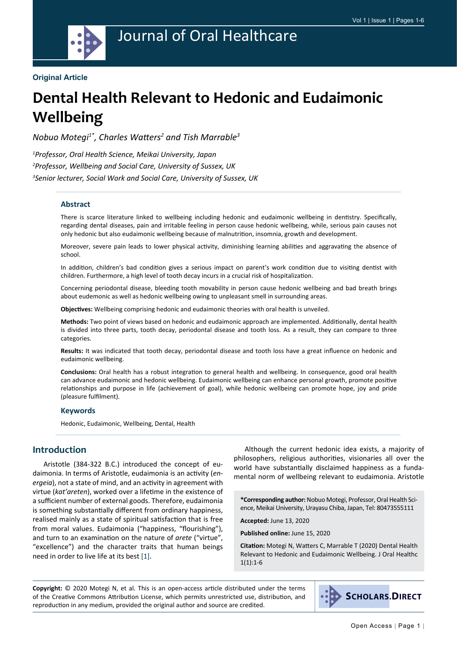

#### **Original Article**

# **Dental Health Relevant to Hedonic and Eudaimonic Wellbeing**

*Nobuo Motegi1\*, Charles Watters<sup>2</sup> and Tish Marrable3*

*1 Professor, Oral Health Science, Meikai University, Japan 2 Professor, Wellbeing and Social Care, University of Sussex, UK 3 Senior lecturer, Social Work and Social Care, University of Sussex, UK*

#### **Abstract**

There is scarce literature linked to wellbeing including hedonic and eudaimonic wellbeing in dentistry. Specifically, regarding dental diseases, pain and irritable feeling in person cause hedonic wellbeing, while, serious pain causes not only hedonic but also eudaimonic wellbeing because of malnutrition, insomnia, growth and development.

Moreover, severe pain leads to lower physical activity, diminishing learning abilities and aggravating the absence of school.

In addition, children's bad condition gives a serious impact on parent's work condition due to visiting dentist with children. Furthermore, a high level of tooth decay incurs in a crucial risk of hospitalization.

Concerning periodontal disease, bleeding tooth movability in person cause hedonic wellbeing and bad breath brings about eudemonic as well as hedonic wellbeing owing to unpleasant smell in surrounding areas.

**Objectives:** Wellbeing comprising hedonic and eudaimonic theories with oral health is unveiled.

**Methods:** Two point of views based on hedonic and eudaimonic approach are implemented. Additionally, dental health is divided into three parts, tooth decay, periodontal disease and tooth loss. As a result, they can compare to three categories.

**Results:** It was indicated that tooth decay, periodontal disease and tooth loss have a great influence on hedonic and eudaimonic wellbeing.

**Conclusions:** Oral health has a robust integration to general health and wellbeing. In consequence, good oral health can advance eudaimonic and hedonic wellbeing. Eudaimonic wellbeing can enhance personal growth, promote positive relationships and purpose in life (achievement of goal), while hedonic wellbeing can promote hope, joy and pride (pleasure fulfilment).

#### **Keywords**

Hedonic, Eudaimonic, Wellbeing, Dental, Health

# **Introduction**

Aristotle (384-322 B.C.) introduced the concept of eudaimonia. In terms of Aristotle, eudaimonia is an activity (*energeia*), not a state of mind, and an activity in agreement with virtue (*kat'areten*), worked over a lifetime in the existence of a sufficient number of external goods. Therefore, eudaimonia is something substantially different from ordinary happiness, realised mainly as a state of spiritual satisfaction that is free from moral values. Eudaimonia ("happiness, "flourishing"), and turn to an examination on the nature of *arete* ("virtue", "excellence") and the character traits that human beings need in order to live life at its best [[1](#page-4-0)].

Although the current hedonic idea exists, a majority of philosophers, religious authorities, visionaries all over the world have substantially disclaimed happiness as a fundamental norm of wellbeing relevant to eudaimonia. Aristotle

**\*Corresponding author:** Nobuo Motegi, Professor, Oral Health Science, Meikai University, Urayasu Chiba, Japan, Tel: 80473555111

**Accepted:** June 13, 2020

**Published online:** June 15, 2020

**Citation:** Motegi N, Watters C, Marrable T (2020) Dental Health Relevant to Hedonic and Eudaimonic Wellbeing. J Oral Healthc  $1(1):1-6$ 

**Copyright:** © 2020 Motegi N, et al. This is an open-access article distributed under the terms of the Creative Commons Attribution License, which permits unrestricted use, distribution, and reproduction in any medium, provided the original author and source are credited.

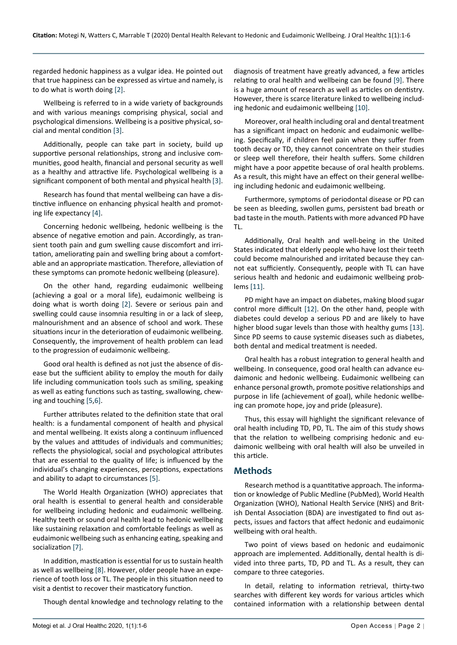regarded hedonic happiness as a vulgar idea. He pointed out that true happiness can be expressed as virtue and namely, is to do what is worth doing [\[2](#page-4-4)].

Wellbeing is referred to in a wide variety of backgrounds and with various meanings comprising physical, social and psychological dimensions. Wellbeing is a positive physical, social and mental condition [[3\]](#page-4-5).

Additionally, people can take part in society, build up supportive personal relationships, strong and inclusive communities, good health, financial and personal security as well as a healthy and attractive life. Psychological wellbeing is a significant component of both mental and physical health [[3\]](#page-4-5).

Research has found that mental wellbeing can have a distinctive influence on enhancing physical health and promoting life expectancy [\[4](#page-4-6)].

Concerning hedonic wellbeing, hedonic wellbeing is the absence of negative emotion and pain. Accordingly, as transient tooth pain and gum swelling cause discomfort and irritation, ameliorating pain and swelling bring about a comfortable and an appropriate mastication. Therefore, alleviation of these symptoms can promote hedonic wellbeing (pleasure).

On the other hand, regarding eudaimonic wellbeing (achieving a goal or a moral life), eudaimonic wellbeing is doing what is worth doing [\[2](#page-4-4)]. Severe or serious pain and swelling could cause insomnia resulting in or a lack of sleep, malnourishment and an absence of school and work. These situations incur in the deterioration of eudaimonic wellbeing. Consequently, the improvement of health problem can lead to the progression of eudaimonic wellbeing.

Good oral health is defined as not just the absence of disease but the sufficient ability to employ the mouth for daily life including communication tools such as smiling, speaking as well as eating functions such as tasting, swallowing, chewing and touching [[5,](#page-4-7)[6](#page-4-8)].

Further attributes related to the definition state that oral health: is a fundamental component of health and physical and mental wellbeing. It exists along a continuum influenced by the values and attitudes of individuals and communities; reflects the physiological, social and psychological attributes that are essential to the quality of life; is influenced by the individual's changing experiences, perceptions, expectations and ability to adapt to circumstances [[5\]](#page-4-7).

The World Health Organization (WHO) appreciates that oral health is essential to general health and considerable for wellbeing including hedonic and eudaimonic wellbeing. Healthy teeth or sound oral health lead to hedonic wellbeing like sustaining relaxation and comfortable feelings as well as eudaimonic wellbeing such as enhancing eating, speaking and socialization [[7\]](#page-4-9).

In addition, mastication is essential for us to sustain health as well as wellbeing [\[8](#page-4-10)]. However, older people have an experience of tooth loss or TL. The people in this situation need to visit a dentist to recover their masticatory function.

Though dental knowledge and technology relating to the

diagnosis of treatment have greatly advanced, a few articles relating to oral health and wellbeing can be found [[9\]](#page-4-1). There is a huge amount of research as well as articles on dentistry. However, there is scarce literature linked to wellbeing including hedonic and eudaimonic wellbeing [[10](#page-4-2)].

Moreover, oral health including oral and dental treatment has a significant impact on hedonic and eudaimonic wellbeing. Specifically, if children feel pain when they suffer from tooth decay or TD, they cannot concentrate on their studies or sleep well therefore, their health suffers. Some children might have a poor appetite because of oral health problems. As a result, this might have an effect on their general wellbeing including hedonic and eudaimonic wellbeing.

Furthermore, symptoms of periodontal disease or PD can be seen as bleeding, swollen gums, persistent bad breath or bad taste in the mouth. Patients with more advanced PD have TL.

Additionally, Oral health and well-being in the United States indicated that elderly people who have lost their teeth could become malnourished and irritated because they cannot eat sufficiently. Consequently, people with TL can have serious health and hedonic and eudaimonic wellbeing problems [\[11](#page-4-3)].

PD might have an impact on diabetes, making blood sugar control more difficult [[12\]](#page-5-0). On the other hand, people with diabetes could develop a serious PD and are likely to have higher blood sugar levels than those with healthy gums [\[13](#page-5-1)]. Since PD seems to cause systemic diseases such as diabetes, both dental and medical treatment is needed.

Oral health has a robust integration to general health and wellbeing. In consequence, good oral health can advance eudaimonic and hedonic wellbeing. Eudaimonic wellbeing can enhance personal growth, promote positive relationships and purpose in life (achievement of goal), while hedonic wellbeing can promote hope, joy and pride (pleasure).

Thus, this essay will highlight the significant relevance of oral health including TD, PD, TL. The aim of this study shows that the relation to wellbeing comprising hedonic and eudaimonic wellbeing with oral health will also be unveiled in this article.

## **Methods**

Research method is a quantitative approach. The information or knowledge of Public Medline (PubMed), World Health Organization (WHO), National Health Service (NHS) and British Dental Association (BDA) are investigated to find out aspects, issues and factors that affect hedonic and eudaimonic wellbeing with oral health.

Two point of views based on hedonic and eudaimonic approach are implemented. Additionally, dental health is divided into three parts, TD, PD and TL. As a result, they can compare to three categories.

In detail, relating to information retrieval, thirty-two searches with different key words for various articles which contained information with a relationship between dental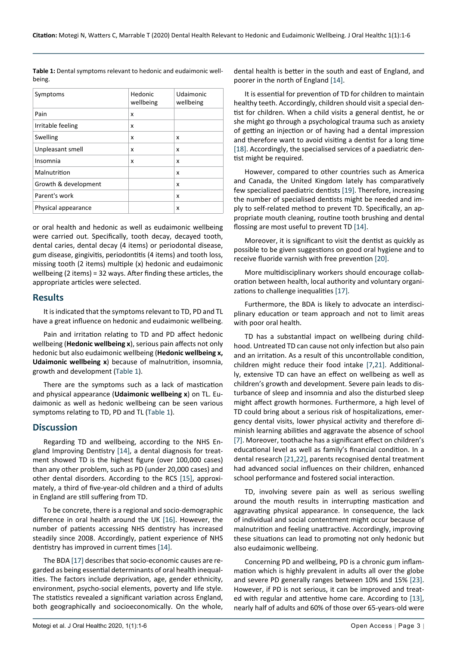<span id="page-2-0"></span>

| <b>Table 1:</b> Dental symptoms relevant to hedonic and eudaimonic well- |
|--------------------------------------------------------------------------|
| being.                                                                   |

| Symptoms             | Hedonic<br>wellbeing | Udaimonic<br>wellbeing |
|----------------------|----------------------|------------------------|
| Pain                 | x                    |                        |
| Irritable feeling    | x                    |                        |
| Swelling             | x                    | x                      |
| Unpleasant smell     | x                    | x                      |
| Insomnia             | x                    | x                      |
| Malnutrition         |                      | x                      |
| Growth & development |                      | x                      |
| Parent's work        |                      | x                      |
| Physical appearance  |                      | X                      |

or oral health and hedonic as well as eudaimonic wellbeing were carried out. Specifically, tooth decay, decayed tooth, dental caries, dental decay (4 items) or periodontal disease, gum disease, gingivitis, periodontitis (4 items) and tooth loss, missing tooth (2 items) multiple (x) hedonic and eudaimonic wellbeing (2 items) = 32 ways. After finding these articles, the appropriate articles were selected.

## **Results**

It is indicated that the symptoms relevant to TD, PD and TL have a great influence on hedonic and eudaimonic wellbeing.

Pain and irritation relating to TD and PD affect hedonic wellbeing (**Hedonic wellbeing x**), serious pain affects not only hedonic but also eudaimonic wellbeing (**Hedonic wellbeing x, Udaimonic wellbeing x**) because of malnutrition, insomnia, growth and development ([Table 1](#page-2-0)).

There are the symptoms such as a lack of mastication and physical appearance (**Udaimonic wellbeing x**) on TL. Eudaimonic as well as hedonic wellbeing can be seen various symptoms relating to TD, PD and TL [\(Table 1](#page-2-0)).

## **Discussion**

Regarding TD and wellbeing, according to the NHS England Improving Dentistry [[14](#page-5-2)], a dental diagnosis for treatment showed TD is the highest figure (over 100,000 cases) than any other problem, such as PD (under 20,000 cases) and other dental disorders. According to the RCS [[15\]](#page-5-10), approximately, a third of five-year-old children and a third of adults in England are still suffering from TD.

To be concrete, there is a regional and socio-demographic difference in oral health around the UK [\[16](#page-5-11)]. However, the number of patients accessing NHS dentistry has increased steadily since 2008. Accordingly, patient experience of NHS dentistry has improved in current times [[14\]](#page-5-2).

The BDA [[17](#page-5-6)] describes that socio-economic causes are regarded as being essential determinants of oral health inequalities. The factors include deprivation, age, gender ethnicity, environment, psycho-social elements, poverty and life style. The statistics revealed a significant variation across England, both geographically and socioeconomically. On the whole, dental health is better in the south and east of England, and poorer in the north of England [[14\]](#page-5-2).

It is essential for prevention of TD for children to maintain healthy teeth. Accordingly, children should visit a special dentist for children. When a child visits a general dentist, he or she might go through a psychological trauma such as anxiety of getting an injection or of having had a dental impression and therefore want to avoid visiting a dentist for a long time [[18\]](#page-5-3). Accordingly, the specialised services of a paediatric dentist might be required.

However, compared to other countries such as America and Canada, the United Kingdom lately has comparatively few specialized paediatric dentists [[19\]](#page-5-4). Therefore, increasing the number of specialised dentists might be needed and imply to self-related method to prevent TD. Specifically, an appropriate mouth cleaning, routine tooth brushing and dental flossing are most useful to prevent TD [\[14](#page-5-2)].

Moreover, it is significant to visit the dentist as quickly as possible to be given suggestions on good oral hygiene and to receive fluoride varnish with free prevention [\[20](#page-5-5)].

More multidisciplinary workers should encourage collaboration between health, local authority and voluntary organizations to challenge inequalities [[17](#page-5-6)].

Furthermore, the BDA is likely to advocate an interdisciplinary education or team approach and not to limit areas with poor oral health.

TD has a substantial impact on wellbeing during childhood. Untreated TD can cause not only infection but also pain and an irritation. As a result of this uncontrollable condition, children might reduce their food intake [[7,](#page-4-9)[21](#page-5-7)]. Additionally, extensive TD can have an effect on wellbeing as well as children's growth and development. Severe pain leads to disturbance of sleep and insomnia and also the disturbed sleep might affect growth hormones. Furthermore, a high level of TD could bring about a serious risk of hospitalizations, emergency dental visits, lower physical activity and therefore diminish learning abilities and aggravate the absence of school [[7\]](#page-4-9). Moreover, toothache has a significant effect on children's educational level as well as family's financial condition. In a dental research [\[21](#page-5-7),[22\]](#page-5-8), parents recognised dental treatment had advanced social influences on their children, enhanced school performance and fostered social interaction.

TD, involving severe pain as well as serious swelling around the mouth results in interrupting mastication and aggravating physical appearance. In consequence, the lack of individual and social contentment might occur because of malnutrition and feeling unattractive. Accordingly, improving these situations can lead to promoting not only hedonic but also eudaimonic wellbeing.

Concerning PD and wellbeing, PD is a chronic gum inflammation which is highly prevalent in adults all over the globe and severe PD generally ranges between 10% and 15% [\[23](#page-5-9)]. However, if PD is not serious, it can be improved and treated with regular and attentive home care. According to [\[13](#page-5-1)], nearly half of adults and 60% of those over 65-years-old were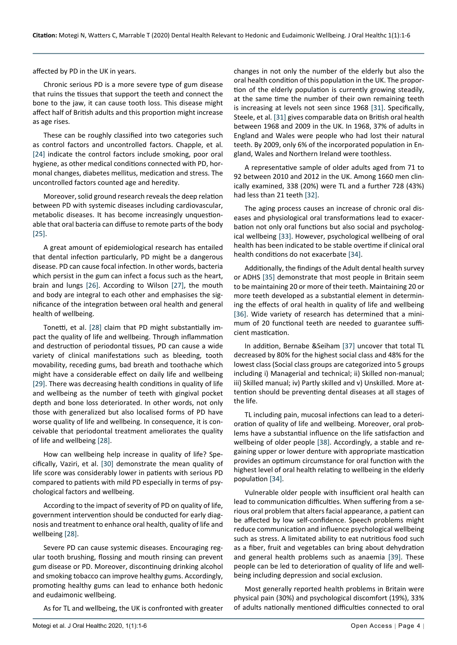affected by PD in the UK in years.

Chronic serious PD is a more severe type of gum disease that ruins the tissues that support the teeth and connect the bone to the jaw, it can cause tooth loss. This disease might affect half of British adults and this proportion might increase as age rises.

These can be roughly classified into two categories such as control factors and uncontrolled factors. Chapple, et al. [[24\]](#page-5-21) indicate the control factors include smoking, poor oral hygiene, as other medical conditions connected with PD, hormonal changes, diabetes mellitus, medication and stress. The uncontrolled factors counted age and heredity.

Moreover, solid ground research reveals the deep relation between PD with systemic diseases including cardiovascular, metabolic diseases. It has become increasingly unquestionable that oral bacteria can diffuse to remote parts of the body [[25\]](#page-5-22).

A great amount of epidemiological research has entailed that dental infection particularly, PD might be a dangerous disease. PD can cause focal infection. In other words, bacteria which persist in the gum can infect a focus such as the heart, brain and lungs [\[26](#page-5-23)]. According to Wilson [\[27\]](#page-5-24), the mouth and body are integral to each other and emphasises the significance of the integration between oral health and general health of wellbeing.

Tonetti, et al. [\[28](#page-5-25)] claim that PD might substantially impact the quality of life and wellbeing. Through inflammation and destruction of periodontal tissues, PD can cause a wide variety of clinical manifestations such as bleeding, tooth movability, receding gums, bad breath and toothache which might have a considerable effect on daily life and wellbeing [[29\]](#page-5-26). There was decreasing health conditions in quality of life and wellbeing as the number of teeth with gingival pocket depth and bone loss deteriorated. In other words, not only those with generalized but also localised forms of PD have worse quality of life and wellbeing. In consequence, it is conceivable that periodontal treatment ameliorates the quality of life and wellbeing [\[28](#page-5-25)].

How can wellbeing help increase in quality of life? Specifically, Vaziri, et al. [[30\]](#page-5-27) demonstrate the mean quality of life score was considerably lower in patients with serious PD compared to patients with mild PD especially in terms of psychological factors and wellbeing.

According to the impact of severity of PD on quality of life, government intervention should be conducted for early diagnosis and treatment to enhance oral health, quality of life and wellbeing [\[28](#page-5-25)].

Severe PD can cause systemic diseases. Encouraging regular tooth brushing, flossing and mouth rinsing can prevent gum disease or PD. Moreover, discontinuing drinking alcohol and smoking tobacco can improve healthy gums. Accordingly, promoting healthy gums can lead to enhance both hedonic and eudaimonic wellbeing.

As for TL and wellbeing, the UK is confronted with greater

changes in not only the number of the elderly but also the oral health condition of this population in the UK. The proportion of the elderly population is currently growing steadily, at the same time the number of their own remaining teeth is increasing at levels not seen since 1968 [\[31\]](#page-5-12). Specifically, Steele, et al. [[31\]](#page-5-12) gives comparable data on British oral health between 1968 and 2009 in the UK. In 1968, 37% of adults in England and Wales were people who had lost their natural teeth. By 2009, only 6% of the incorporated population in England, Wales and Northern Ireland were toothless.

A representative sample of older adults aged from 71 to 92 between 2010 and 2012 in the UK. Among 1660 men clinically examined, 338 (20%) were TL and a further 728 (43%) had less than 21 teeth [\[32](#page-5-13)].

The aging process causes an increase of chronic oral diseases and physiological oral transformations lead to exacerbation not only oral functions but also social and psychological wellbeing [\[33](#page-5-14)]. However, psychological wellbeing of oral health has been indicated to be stable overtime if clinical oral health conditions do not exacerbate [[34](#page-5-15)].

Additionally, the findings of the Adult dental health survey or ADHS [\[35](#page-5-16)] demonstrate that most people in Britain seem to be maintaining 20 or more of their teeth. Maintaining 20 or more teeth developed as a substantial element in determining the effects of oral health in quality of life and wellbeing [[36\]](#page-5-17). Wide variety of research has determined that a minimum of 20 functional teeth are needed to guarantee sufficient mastication.

In addition, Bernabe &Seiham [\[37](#page-5-18)] uncover that total TL decreased by 80% for the highest social class and 48% for the lowest class (Social class groups are categorized into 5 groups including i) Managerial and technical; ii) Skilled non-manual; iii) Skilled manual; iv) Partly skilled and v) Unskilled. More attention should be preventing dental diseases at all stages of the life.

TL including pain, mucosal infections can lead to a deterioration of quality of life and wellbeing. Moreover, oral problems have a substantial influence on the life satisfaction and wellbeing of older people [\[38](#page-5-19)]. Accordingly, a stable and regaining upper or lower denture with appropriate mastication provides an optimum circumstance for oral function with the highest level of oral health relating to wellbeing in the elderly population [\[34](#page-5-15)].

Vulnerable older people with insufficient oral health can lead to communication difficulties. When suffering from a serious oral problem that alters facial appearance, a patient can be affected by low self-confidence. Speech problems might reduce communication and influence psychological wellbeing such as stress. A limitated ability to eat nutritious food such as a fiber, fruit and vegetables can bring about dehydration and general health problems such as anaemia [[39](#page-5-20)]. These people can be led to deterioration of quality of life and wellbeing including depression and social exclusion.

Most generally reported health problems in Britain were physical pain (30%) and psychological discomfort (19%), 33% of adults nationally mentioned difficulties connected to oral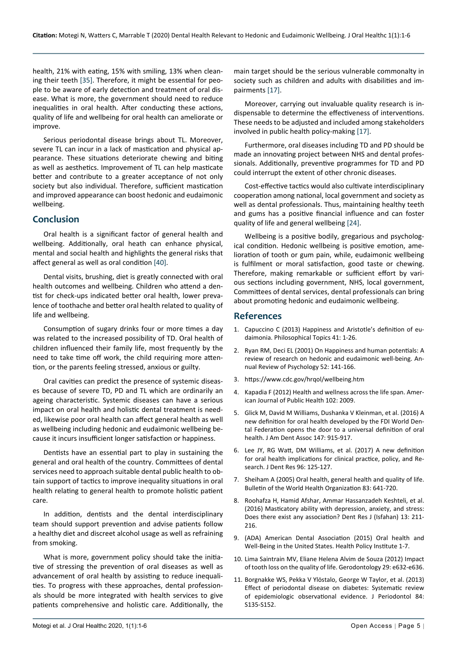health, 21% with eating, 15% with smiling, 13% when cleaning their teeth [\[35](#page-5-16)]. Therefore, it might be essential for people to be aware of early detection and treatment of oral disease. What is more, the government should need to reduce inequalities in oral health. After conducting these actions, quality of life and wellbeing for oral health can ameliorate or improve.

Serious periodontal disease brings about TL. Moreover, severe TL can incur in a lack of mastication and physical appearance. These situations deteriorate chewing and biting as well as aesthetics. Improvement of TL can help masticate better and contribute to a greater acceptance of not only society but also individual. Therefore, sufficient mastication and improved appearance can boost hedonic and eudaimonic wellbeing.

## **Conclusion**

Oral health is a significant factor of general health and wellbeing. Additionally, oral heath can enhance physical, mental and social health and highlights the general risks that affect general as well as oral condition [\[40\]](#page-5-28).

Dental visits, brushing, diet is greatly connected with oral health outcomes and wellbeing. Children who attend a dentist for check-ups indicated better oral health, lower prevalence of toothache and better oral health related to quality of life and wellbeing.

Consumption of sugary drinks four or more times a day was related to the increased possibility of TD. Oral health of children influenced their family life, most frequently by the need to take time off work, the child requiring more attention, or the parents feeling stressed, anxious or guilty.

Oral cavities can predict the presence of systemic diseases because of severe TD, PD and TL which are ordinarily an ageing characteristic. Systemic diseases can have a serious impact on oral health and holistic dental treatment is needed, likewise poor oral health can affect general health as well as wellbeing including hedonic and eudaimonic wellbeing because it incurs insufficient longer satisfaction or happiness.

Dentists have an essential part to play in sustaining the general and oral health of the country. Committees of dental services need to approach suitable dental public health to obtain support of tactics to improve inequality situations in oral health relating to general health to promote holistic patient care.

In addition, dentists and the dental interdisciplinary team should support prevention and advise patients follow a healthy diet and discreet alcohol usage as well as refraining from smoking.

What is more, government policy should take the initiative of stressing the prevention of oral diseases as well as advancement of oral health by assisting to reduce inequalities. To progress with these approaches, dental professionals should be more integrated with health services to give patients comprehensive and holistic care. Additionally, the main target should be the serious vulnerable commonalty in society such as children and adults with disabilities and impairments [\[17](#page-5-6)].

Moreover, carrying out invaluable quality research is indispensable to determine the effectiveness of interventions. These needs to be adjusted and included among stakeholders involved in public health policy-making [\[17](#page-5-6)].

Furthermore, oral diseases including TD and PD should be made an innovating project between NHS and dental professionals. Additionally, preventive programmes for TD and PD could interrupt the extent of other chronic diseases.

Cost-effective tactics would also cultivate interdisciplinary cooperation among national, local government and society as well as dental professionals. Thus, maintaining healthy teeth and gums has a positive financial influence and can foster quality of life and general wellbeing [\[24](#page-5-21)].

Wellbeing is a positive bodily, gregarious and psychological condition. Hedonic wellbeing is positive emotion, amelioration of tooth or gum pain, while, eudaimonic wellbeing is fulfilment or moral satisfaction, good taste or chewing. Therefore, making remarkable or sufficient effort by various sections including government, NHS, local government, Committees of dental services, dental professionals can bring about promoting hedonic and eudaimonic wellbeing.

## **References**

- <span id="page-4-0"></span>1. Capuccino C (2013) Happiness and Aristotle's definition of eudaimonia. Philosophical Topics 41: 1-26.
- <span id="page-4-4"></span>2. [Ryan RM, Deci EL \(2001\) On Happiness and human potentials: A](https://pubmed.ncbi.nlm.nih.gov/11148302/)  [review of research on hedonic and eudaimonic well-being. An](https://pubmed.ncbi.nlm.nih.gov/11148302/)[nual Review of Psychology 52: 141-166.](https://pubmed.ncbi.nlm.nih.gov/11148302/)
- <span id="page-4-5"></span>3. <https://www.cdc.gov/hrqol/wellbeing.htm>
- <span id="page-4-6"></span>4. [Kapadia F \(2012\) Health and wellness across the life span. Amer](https://www.ncbi.nlm.nih.gov/pmc/articles/PMC3477941/)[ican Journal of Public Health 102: 2009.](https://www.ncbi.nlm.nih.gov/pmc/articles/PMC3477941/)
- <span id="page-4-7"></span>5. [Glick M, David M Williams, Dushanka V Kleinman, et al. \(2016\) A](https://pubmed.ncbi.nlm.nih.gov/27886668/)  [new definition for oral health developed by the FDI World Den](https://pubmed.ncbi.nlm.nih.gov/27886668/)[tal Federation opens the door to a universal definition of oral](https://pubmed.ncbi.nlm.nih.gov/27886668/)  [health. J Am Dent Assoc 147: 915-917.](https://pubmed.ncbi.nlm.nih.gov/27886668/)
- <span id="page-4-8"></span>6. [Lee JY, RG Watt, DM Williams, et al. \(2017\) A new definition](https://pubmed.ncbi.nlm.nih.gov/27879422/)  [for oral health implications for clinical practice, policy, and Re](https://pubmed.ncbi.nlm.nih.gov/27879422/)[search. J Dent Res 96: 125-127.](https://pubmed.ncbi.nlm.nih.gov/27879422/)
- <span id="page-4-9"></span>7. [Sheiham A \(2005\) Oral health, general health and quality of life.](https://www.who.int/bulletin/volumes/83/9/editorial30905html/en/)  [Bulletin of the World Health Organization 83: 641-720.](https://www.who.int/bulletin/volumes/83/9/editorial30905html/en/)
- <span id="page-4-10"></span>8. [Roohafza H, Hamid Afshar, Ammar Hassanzadeh Keshteli, et al.](https://www.ncbi.nlm.nih.gov/pmc/articles/PMC4878204/)  [\(2016\) Masticatory ability with depression, anxiety, and stress:](https://www.ncbi.nlm.nih.gov/pmc/articles/PMC4878204/)  [Does there exist any association? Dent Res J \(Isfahan\) 13: 211-](https://www.ncbi.nlm.nih.gov/pmc/articles/PMC4878204/) [216.](https://www.ncbi.nlm.nih.gov/pmc/articles/PMC4878204/)
- <span id="page-4-1"></span>9. [\(ADA\) American Dental Association \(2015\) Oral health and](https://www.ada.org/en/science-research/health-policy-institute/oral-health-and-well-being)  [Well-Being in the United States. Health Policy Institute 1-7.](https://www.ada.org/en/science-research/health-policy-institute/oral-health-and-well-being)
- <span id="page-4-2"></span>10. [Lima Saintrain MV, Eliane Helena Alvim de Souza \(2012\) Impact](https://onlinelibrary.wiley.com/doi/full/10.1111/j.1741-2358.2011.00535.x)  [of tooth loss on the quality of life. Gerodontology 29: e632-e636.](https://onlinelibrary.wiley.com/doi/full/10.1111/j.1741-2358.2011.00535.x)
- <span id="page-4-3"></span>11. [Borgnakke WS, Pekka V Ylöstalo, George W Taylor, et al. \(2013\)](https://pubmed.ncbi.nlm.nih.gov/23631574/?from_term=periodontal+disease+diabetes&from_no_cache=yes&from_pos=4)  [Effect of periodontal disease on diabetes: Systematic review](https://pubmed.ncbi.nlm.nih.gov/23631574/?from_term=periodontal+disease+diabetes&from_no_cache=yes&from_pos=4)  [of epidemiologic observational evidence. J Periodontol 84:](https://pubmed.ncbi.nlm.nih.gov/23631574/?from_term=periodontal+disease+diabetes&from_no_cache=yes&from_pos=4)  [S135-S152.](https://pubmed.ncbi.nlm.nih.gov/23631574/?from_term=periodontal+disease+diabetes&from_no_cache=yes&from_pos=4)